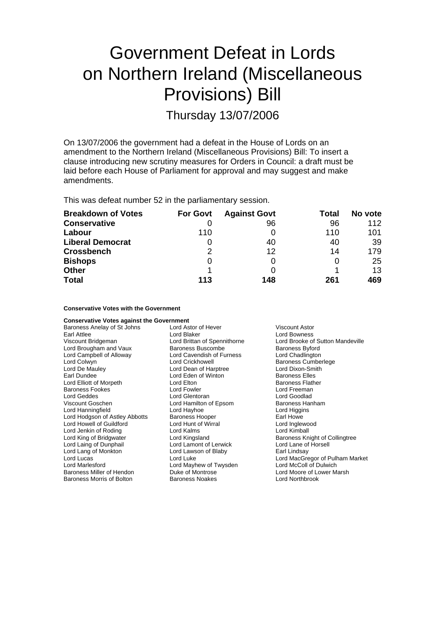# Government Defeat in Lords on Northern Ireland (Miscellaneous Provisions) Bill

Thursday 13/07/2006

On 13/07/2006 the government had a defeat in the House of Lords on an amendment to the Northern Ireland (Miscellaneous Provisions) Bill: To insert a clause introducing new scrutiny measures for Orders in Council: a draft must be laid before each House of Parliament for approval and may suggest and make amendments.

This was defeat number 52 in the parliamentary session.

| <b>Breakdown of Votes</b> | <b>For Govt</b> | <b>Against Govt</b> | Total | No vote |
|---------------------------|-----------------|---------------------|-------|---------|
| <b>Conservative</b>       |                 | 96                  | 96    | 112     |
| Labour                    | 110             |                     | 110   | 101     |
| <b>Liberal Democrat</b>   |                 | 40                  | 40    | 39      |
| <b>Crossbench</b>         | 2               | 12                  | 14    | 179     |
| <b>Bishops</b>            | 0               |                     | 0     | 25      |
| <b>Other</b>              |                 |                     |       | 13      |
| <b>Total</b>              | 113             | 148                 | 261   | 469     |

### **Conservative Votes with the Government**

| <b>Conservative Votes against the Government</b> |                              |                                  |  |  |  |
|--------------------------------------------------|------------------------------|----------------------------------|--|--|--|
| Baroness Anelay of St Johns                      | Lord Astor of Hever          | <b>Viscount Astor</b>            |  |  |  |
| Earl Attlee                                      | Lord Blaker                  | Lord Bowness                     |  |  |  |
| Viscount Bridgeman                               | Lord Brittan of Spennithorne | Lord Brooke of Sutton Mandeville |  |  |  |
| Lord Brougham and Vaux                           | Baroness Buscombe            | <b>Baroness Byford</b>           |  |  |  |
| Lord Campbell of Alloway                         | Lord Cavendish of Furness    | Lord Chadlington                 |  |  |  |
| Lord Colwyn                                      | Lord Crickhowell             | <b>Baroness Cumberlege</b>       |  |  |  |
| Lord De Mauley                                   | Lord Dean of Harptree        | Lord Dixon-Smith                 |  |  |  |
| Earl Dundee                                      | Lord Eden of Winton          | <b>Baroness Elles</b>            |  |  |  |
| Lord Elliott of Morpeth                          | Lord Elton                   | <b>Baroness Flather</b>          |  |  |  |
| <b>Baroness Fookes</b>                           | Lord Fowler                  | Lord Freeman                     |  |  |  |
| Lord Geddes                                      | Lord Glentoran               | Lord Goodlad                     |  |  |  |
| Viscount Goschen                                 | Lord Hamilton of Epsom       | <b>Baroness Hanham</b>           |  |  |  |
| Lord Hanningfield                                | Lord Hayhoe                  | Lord Higgins                     |  |  |  |
| Lord Hodgson of Astley Abbotts                   | <b>Baroness Hooper</b>       | Earl Howe                        |  |  |  |
| Lord Howell of Guildford                         | Lord Hunt of Wirral          | Lord Inglewood                   |  |  |  |
| Lord Jenkin of Roding                            | Lord Kalms                   | Lord Kimball                     |  |  |  |
| Lord King of Bridgwater                          | Lord Kingsland               | Baroness Knight of Collingtree   |  |  |  |
| Lord Laing of Dunphail                           | Lord Lamont of Lerwick       | Lord Lane of Horsell             |  |  |  |
| Lord Lang of Monkton                             | Lord Lawson of Blaby         | Earl Lindsay                     |  |  |  |
| Lord Lucas                                       | Lord Luke                    | Lord MacGregor of Pulham Market  |  |  |  |
| Lord Marlesford                                  | Lord Mayhew of Twysden       | Lord McColl of Dulwich           |  |  |  |
| Baroness Miller of Hendon                        | Duke of Montrose             | Lord Moore of Lower Marsh        |  |  |  |
| Baroness Morris of Bolton                        | <b>Baroness Noakes</b>       | Lord Northbrook                  |  |  |  |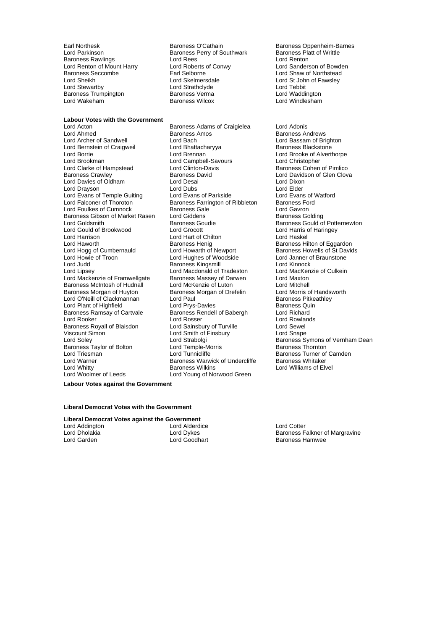Lord Renton of Mount Harry Lord Roberts of Converts of Converts of Congress Seccombe Baroness Trumpington i Baroness Verma<br>1988 Lord Wakeham i Baroness Wilcox

# **Labour Votes with the Government**<br>**Lord Acton**

Lord Ahmed **Baroness Amos** Baroness Amos **Baroness Andrews**<br>
Lord Archer of Sandwell **Back** Lord Bach **Baroness Andrews** Lord Bassam of Brig Lord Bernstein of Craigweil Lord Bhattach<br>
Lord Brennan<br>
Lord Brennan Lord Brookman Lord Campbell-Savours Lord Christopher Lord Clarke of Hampstead Lord Clinton-David Baroness Crawley<br>Baroness Crawley **Baroness** David Lord Davies of Oldham Lord Desai Lord Dixon Lord Drayson **Lord Dubs** Lord Dubs Lord Elder Lord Elder<br>
Lord Evans of Temple Guiting Lord Evans of Parkside Lord Evans of Watford Lord Evans of Temple Guiting Lord Evans of Parkside Lord Evans of V<br>Lord Ealconer of Thoroton Baroness Earrington of Ribbleton Baroness Eord Lord Foulkes of Cumnock **Baroness Gale** Lord Gavron<br>
Baroness Gibson of Market Rasen Lord Giddens **Communist Constant Caroness Golding** Baroness Gibson of Market Rasen Lord Giddens<br>Lord Goldsmith Baroness Goudie Lord Goldsmith Baroness Goudie Baroness Gould of Potternewton<br>
Baroness Gould of Brookwood Lord Grocott Lord Harris of Haringev Lord Harrison **Lord Hart of Chilton**<br>
Lord Haworth **Chilt no Lord Hart of Chilton**<br>
Baroness Henig **Baroness Henig** Baroness Hil Lord Haworth **Baroness Henig** Baroness Henig Baroness Hilton of Eggardon<br>Lord Hogg of Cumbernauld Lord Howarth of Newport Baroness Howells of St David Lord Hogg of Cumbernauld Lord Howarth of Newport Baroness Howells of St Davids<br>
Lord Howie of Troon Lord Hughes of Woodside Lord Janner of Braunstone Lord Judd Baroness Kingsmill Lord Kinnock Lord Mackenzie of Framwellgate Baroness McIntosh of Hudnall Lord McKenzie of Luton Lord Mitchell<br>Baroness Morgan of Huyton Baroness Morgan of Drefelin Lord Morris of Handsworth Lord O'Neill of Clackmannan Lord Paul Cord Paul Baroness Pitke<br>
Lord Plant of Highfield Lord Prys-Davies Cuin Lord Plant of Highfield Baroness Ramsay of Cartvale **Baroness Rendell of Babergh** Lord Richard Lord Rooker (Exercise of Lord Rosser Cord Rosser Cord Rowlands All Cord Rowlands Cord Rowlands All Cord Sewel<br>
Lord Sewel and Cord Sainsbury of Turville Cord Sewel Baroness Royall of Blaisdon Viscount Simon **Viscount Simon** Lord Smith of Finsbury **Lord Shape**<br>Cord Soley **Lord Strabolgi** Lord Strabolgi **Cord Shape** Baroness Sy Baroness Taylor of Bolton Faroness Taylor of Bolton r Lord Temple-Mo ris r Lord Tunnicliffe Lord Triesman Lord Tunnicliffe Baroness Turner of Camden Lord Warner **Communist Communist Communist Communist Communist Communist Communist Communist Communist Communist Communist Communist Communist Communist Communist Communist Communist Communist Communist Communist Communist** Lord Whitty **Baroness Wilkins** Elvel **Baroness Wilkins** Lord Williams of Elvel Lord Woolmer of Leeds

Earl Northesk **Baroness O'Cathain** Baroness Oppenheim-Barnes<br>
Lord Parkinson **Baroness Perry of Southwark** Baroness Platt of Writtle Baroness Perry of Southwark Baroness Platt Baroness Platt of Rents<br>Lord Rees **Baroness** Baroness Platt of Nenton Baroness Rawlings **Example 2** Lord Rees Theories Lord Renton Lord Renton Lord Renton Cord Renton Cord Roberts of Conwy Baroness Seccombe **Earl Selborne** Earl Selborne **Earl Selborne** Lord Shaw of Northstead<br>
Lord Sheikh **Earl Steinersdale** Lord Steiners Lord Steiners Lord Steiners Lord Steiners Lord Steiners Lord Steiners Lord Steiners Lor Lord Sheikh Lord Skelmersdale Lord State Lord St John of Fawsley<br>
Lord Strathclyde Lord Strathclyde Lord Tebbit Lord Strathclyde<br>
Baroness Verma<br>
Lord Waddington

Lord Acton Baroness Adams of Craigielea Lord Adonis Lord Bach<br>
Lord Bhattacharyva<br>
Baroness Blackstone Baroness Farrington of Ribbleton Lord Hughes of Woodside Lord Macdonald of Tradeston Lord MacKer<br>Baroness Massey of Darwen Lord Maxton Baroness Morgan of Drefelin Lord Morris of Handsworth Baroness Pitkeathlev Lord Young of Norwood Green

Lord Windlesham

Lord Brooke of Alverthorpe Lord Davidson of Glen Clova Lord Harris of Haringey Lord Strabolgi **Colegan Coley Strabolgi** Baroness Symons of Vernham Dean Lord Temple-Morris

#### **Labour Votes against the Government**

#### **Liberal Democrat Votes with the Government**

#### **Liberal Democrat Votes against the Government**

| Lord Addington | Lord Alderdio |
|----------------|---------------|
| Lord Dholakia  | Lord Dykes    |
| Lord Garden    | Lord Goodha   |
|                |               |

**Ce** Lord Cotter Baroness Falkner of Margravine<br>Baroness Hamwee Baroness Hamwee